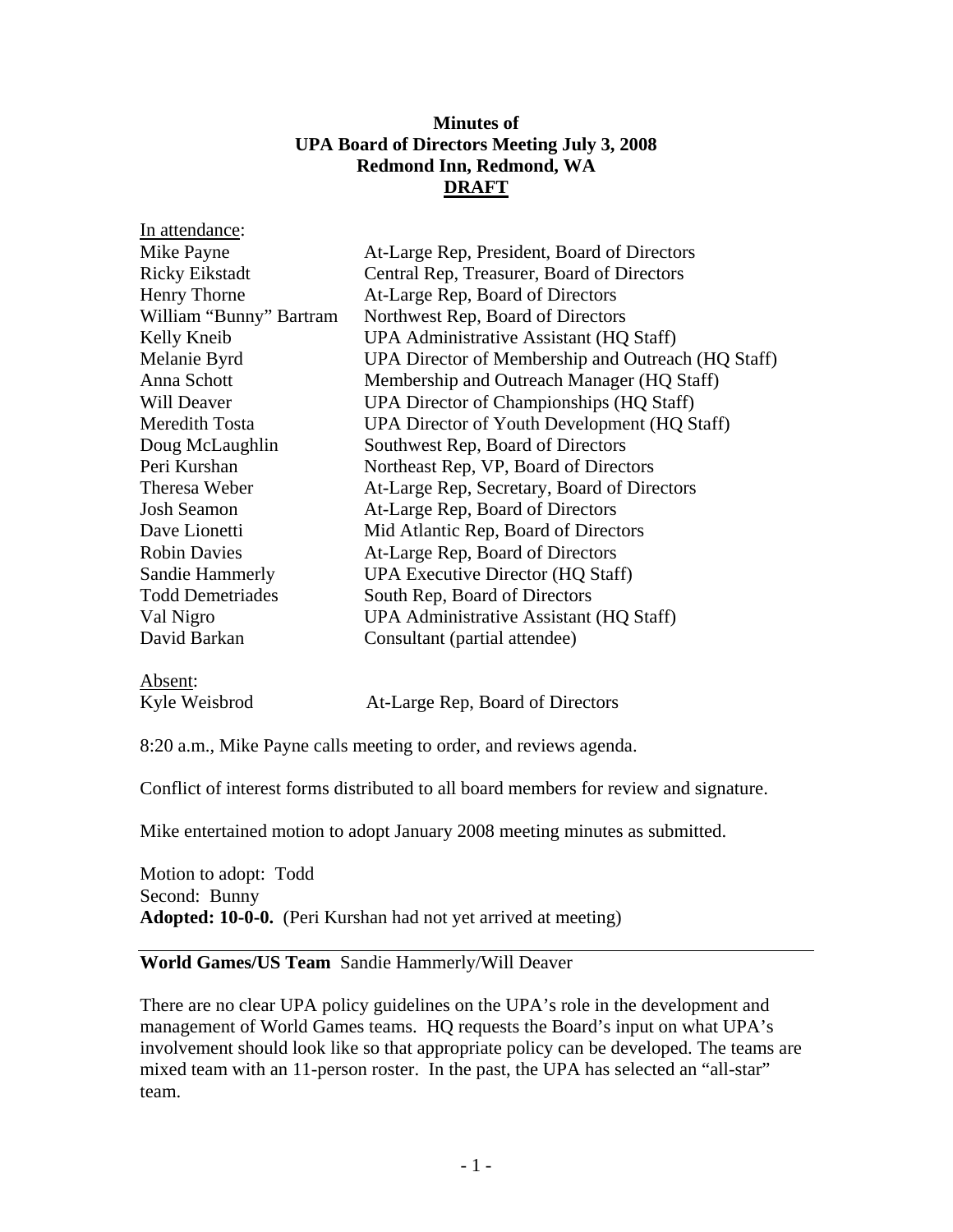# **Minutes of UPA Board of Directors Meeting July 3, 2008 Redmond Inn, Redmond, WA DRAFT**

| In attendance:          |                                                    |
|-------------------------|----------------------------------------------------|
| Mike Payne              | At-Large Rep, President, Board of Directors        |
| <b>Ricky Eikstadt</b>   | Central Rep, Treasurer, Board of Directors         |
| Henry Thorne            | At-Large Rep, Board of Directors                   |
| William "Bunny" Bartram | Northwest Rep, Board of Directors                  |
| Kelly Kneib             | UPA Administrative Assistant (HQ Staff)            |
| Melanie Byrd            | UPA Director of Membership and Outreach (HQ Staff) |
| Anna Schott             | Membership and Outreach Manager (HQ Staff)         |
| Will Deaver             | UPA Director of Championships (HQ Staff)           |
| <b>Meredith Tosta</b>   | UPA Director of Youth Development (HQ Staff)       |
| Doug McLaughlin         | Southwest Rep, Board of Directors                  |
| Peri Kurshan            | Northeast Rep, VP, Board of Directors              |
| Theresa Weber           | At-Large Rep, Secretary, Board of Directors        |
| <b>Josh Seamon</b>      | At-Large Rep, Board of Directors                   |
| Dave Lionetti           | Mid Atlantic Rep, Board of Directors               |
| <b>Robin Davies</b>     | At-Large Rep, Board of Directors                   |
| Sandie Hammerly         | <b>UPA Executive Director (HQ Staff)</b>           |
| <b>Todd Demetriades</b> | South Rep, Board of Directors                      |
| Val Nigro               | UPA Administrative Assistant (HQ Staff)            |
| David Barkan            | Consultant (partial attendee)                      |
|                         |                                                    |

# Absent:

Kyle Weisbrod At-Large Rep, Board of Directors

8:20 a.m., Mike Payne calls meeting to order, and reviews agenda.

Conflict of interest forms distributed to all board members for review and signature.

Mike entertained motion to adopt January 2008 meeting minutes as submitted.

Motion to adopt: Todd Second: Bunny **Adopted: 10-0-0.** (Peri Kurshan had not yet arrived at meeting)

# **World Games/US Team** Sandie Hammerly/Will Deaver

There are no clear UPA policy guidelines on the UPA's role in the development and management of World Games teams. HQ requests the Board's input on what UPA's involvement should look like so that appropriate policy can be developed. The teams are mixed team with an 11-person roster. In the past, the UPA has selected an "all-star" team.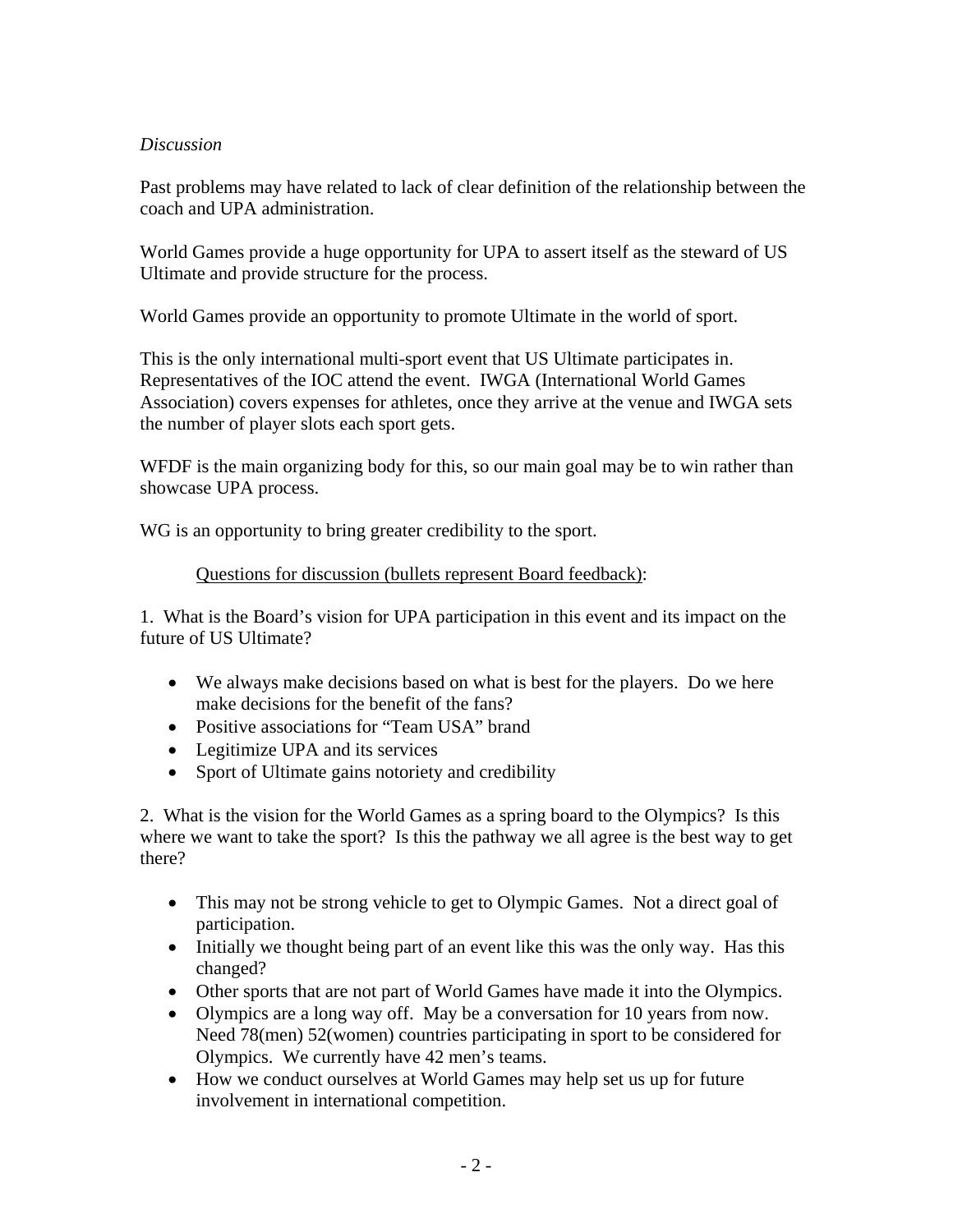# *Discussion*

Past problems may have related to lack of clear definition of the relationship between the coach and UPA administration.

World Games provide a huge opportunity for UPA to assert itself as the steward of US Ultimate and provide structure for the process.

World Games provide an opportunity to promote Ultimate in the world of sport.

This is the only international multi-sport event that US Ultimate participates in. Representatives of the IOC attend the event. IWGA (International World Games Association) covers expenses for athletes, once they arrive at the venue and IWGA sets the number of player slots each sport gets.

WFDF is the main organizing body for this, so our main goal may be to win rather than showcase UPA process.

WG is an opportunity to bring greater credibility to the sport.

# Questions for discussion (bullets represent Board feedback):

1. What is the Board's vision for UPA participation in this event and its impact on the future of US Ultimate?

- We always make decisions based on what is best for the players. Do we here make decisions for the benefit of the fans?
- Positive associations for "Team USA" brand
- Legitimize UPA and its services
- Sport of Ultimate gains notoriety and credibility

2. What is the vision for the World Games as a spring board to the Olympics? Is this where we want to take the sport? Is this the pathway we all agree is the best way to get there?

- This may not be strong vehicle to get to Olympic Games. Not a direct goal of participation.
- Initially we thought being part of an event like this was the only way. Has this changed?
- Other sports that are not part of World Games have made it into the Olympics.
- Olympics are a long way off. May be a conversation for 10 years from now. Need 78(men) 52(women) countries participating in sport to be considered for Olympics. We currently have 42 men's teams.
- How we conduct ourselves at World Games may help set us up for future involvement in international competition.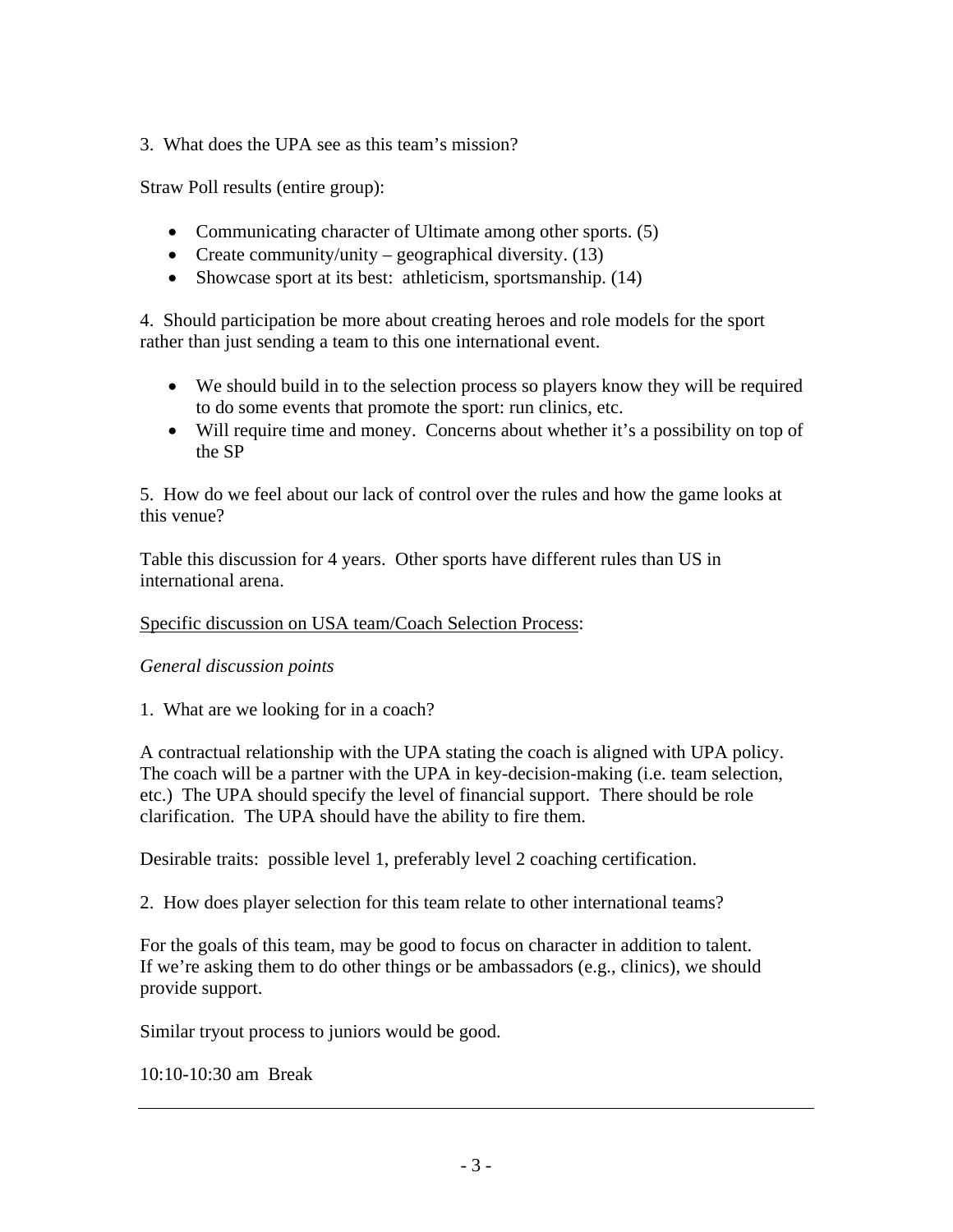3. What does the UPA see as this team's mission?

Straw Poll results (entire group):

- Communicating character of Ultimate among other sports. (5)
- Create community/unity geographical diversity.  $(13)$
- Showcase sport at its best: athleticism, sportsmanship. (14)

4. Should participation be more about creating heroes and role models for the sport rather than just sending a team to this one international event.

- We should build in to the selection process so players know they will be required to do some events that promote the sport: run clinics, etc.
- Will require time and money. Concerns about whether it's a possibility on top of the SP

5. How do we feel about our lack of control over the rules and how the game looks at this venue?

Table this discussion for 4 years. Other sports have different rules than US in international arena.

# Specific discussion on USA team/Coach Selection Process:

# *General discussion points*

1. What are we looking for in a coach?

A contractual relationship with the UPA stating the coach is aligned with UPA policy. The coach will be a partner with the UPA in key-decision-making (i.e. team selection, etc.) The UPA should specify the level of financial support. There should be role clarification. The UPA should have the ability to fire them.

Desirable traits: possible level 1, preferably level 2 coaching certification.

2. How does player selection for this team relate to other international teams?

For the goals of this team, may be good to focus on character in addition to talent. If we're asking them to do other things or be ambassadors (e.g., clinics), we should provide support.

Similar tryout process to juniors would be good.

10:10-10:30 am Break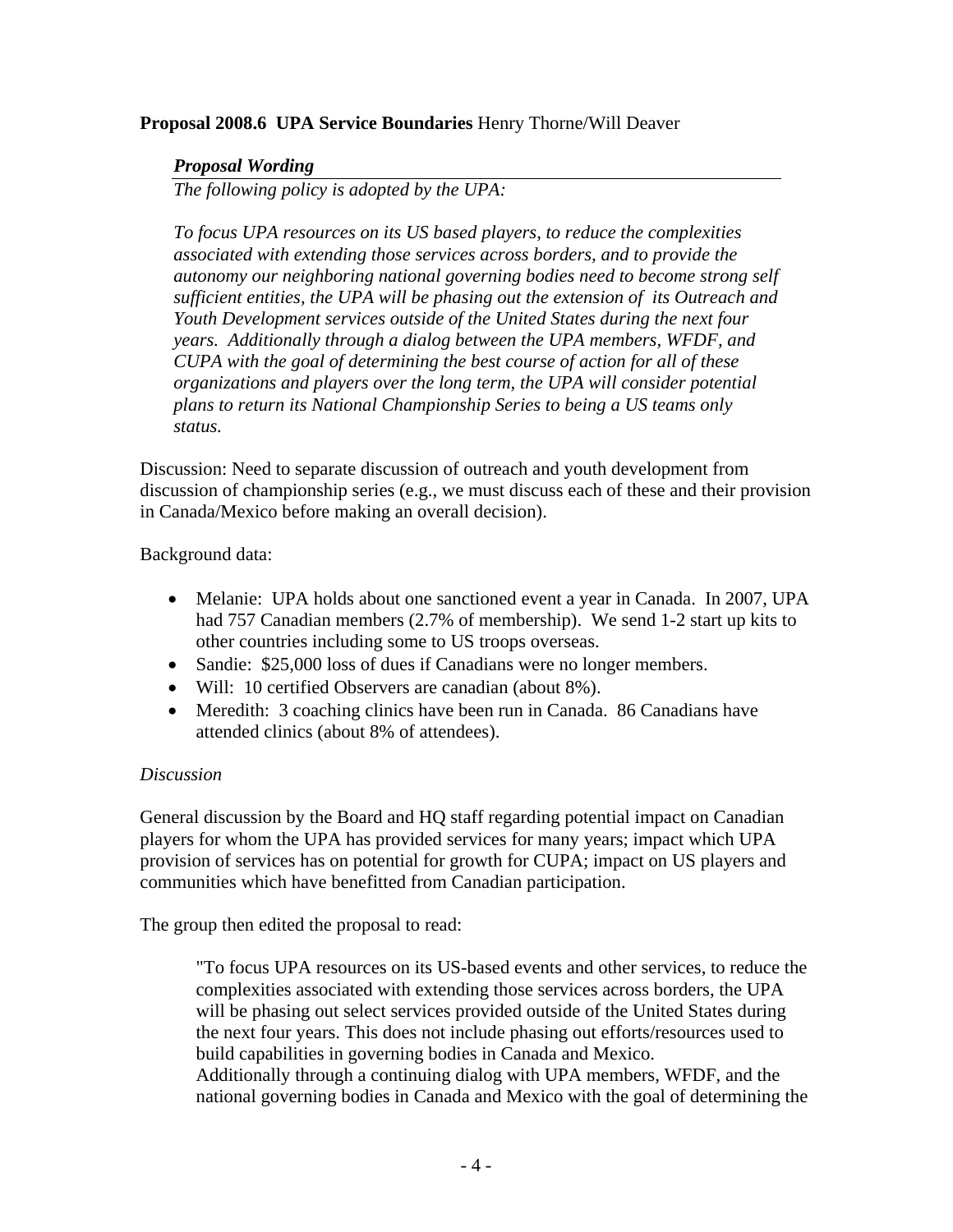# **Proposal 2008.6 UPA Service Boundaries** Henry Thorne/Will Deaver

## *Proposal Wording*

*The following policy is adopted by the UPA:* 

*To focus UPA resources on its US based players, to reduce the complexities associated with extending those services across borders, and to provide the autonomy our neighboring national governing bodies need to become strong self sufficient entities, the UPA will be phasing out the extension of its Outreach and Youth Development services outside of the United States during the next four years. Additionally through a dialog between the UPA members, WFDF, and CUPA with the goal of determining the best course of action for all of these organizations and players over the long term, the UPA will consider potential plans to return its National Championship Series to being a US teams only status.* 

Discussion: Need to separate discussion of outreach and youth development from discussion of championship series (e.g., we must discuss each of these and their provision in Canada/Mexico before making an overall decision).

Background data:

- Melanie: UPA holds about one sanctioned event a year in Canada. In 2007, UPA had 757 Canadian members (2.7% of membership). We send 1-2 start up kits to other countries including some to US troops overseas.
- Sandie: \$25,000 loss of dues if Canadians were no longer members.
- Will: 10 certified Observers are canadian (about 8%).
- Meredith: 3 coaching clinics have been run in Canada. 86 Canadians have attended clinics (about 8% of attendees).

# *Discussion*

General discussion by the Board and HQ staff regarding potential impact on Canadian players for whom the UPA has provided services for many years; impact which UPA provision of services has on potential for growth for CUPA; impact on US players and communities which have benefitted from Canadian participation.

The group then edited the proposal to read:

"To focus UPA resources on its US-based events and other services, to reduce the complexities associated with extending those services across borders, the UPA will be phasing out select services provided outside of the United States during the next four years. This does not include phasing out efforts/resources used to build capabilities in governing bodies in Canada and Mexico. Additionally through a continuing dialog with UPA members, WFDF, and the national governing bodies in Canada and Mexico with the goal of determining the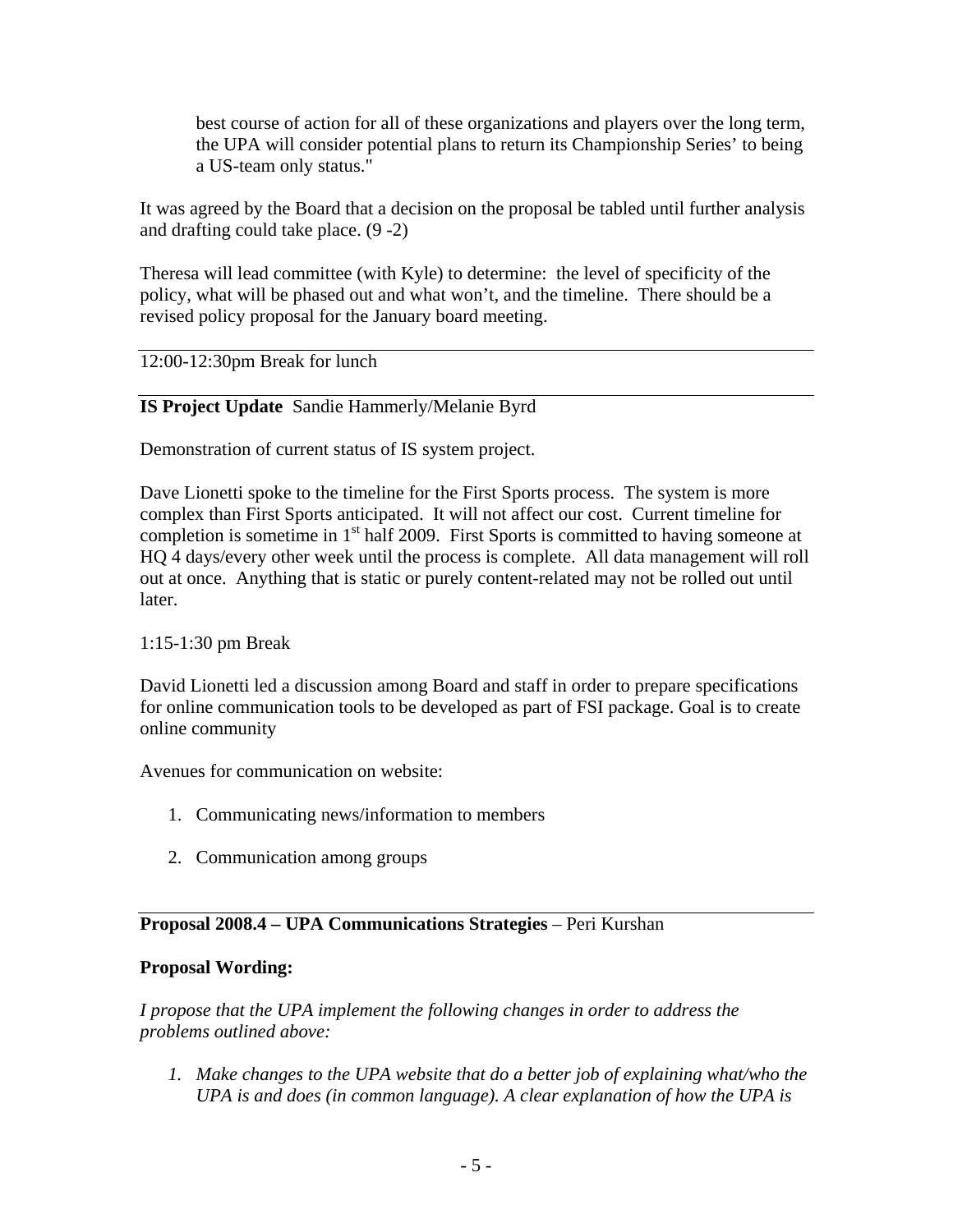best course of action for all of these organizations and players over the long term, the UPA will consider potential plans to return its Championship Series' to being a US-team only status."

It was agreed by the Board that a decision on the proposal be tabled until further analysis and drafting could take place. (9 -2)

Theresa will lead committee (with Kyle) to determine: the level of specificity of the policy, what will be phased out and what won't, and the timeline. There should be a revised policy proposal for the January board meeting.

## 12:00-12:30pm Break for lunch

# **IS Project Update** Sandie Hammerly/Melanie Byrd

Demonstration of current status of IS system project.

Dave Lionetti spoke to the timeline for the First Sports process. The system is more complex than First Sports anticipated. It will not affect our cost. Current timeline for completion is sometime in  $1<sup>st</sup>$  half 2009. First Sports is committed to having someone at HQ 4 days/every other week until the process is complete. All data management will roll out at once. Anything that is static or purely content-related may not be rolled out until later.

### 1:15-1:30 pm Break

David Lionetti led a discussion among Board and staff in order to prepare specifications for online communication tools to be developed as part of FSI package. Goal is to create online community

Avenues for communication on website:

- 1. Communicating news/information to members
- 2. Communication among groups

### **Proposal 2008.4 – UPA Communications Strategies** – Peri Kurshan

### **Proposal Wording:**

*I propose that the UPA implement the following changes in order to address the problems outlined above:* 

*1. Make changes to the UPA website that do a better job of explaining what/who the UPA is and does (in common language). A clear explanation of how the UPA is*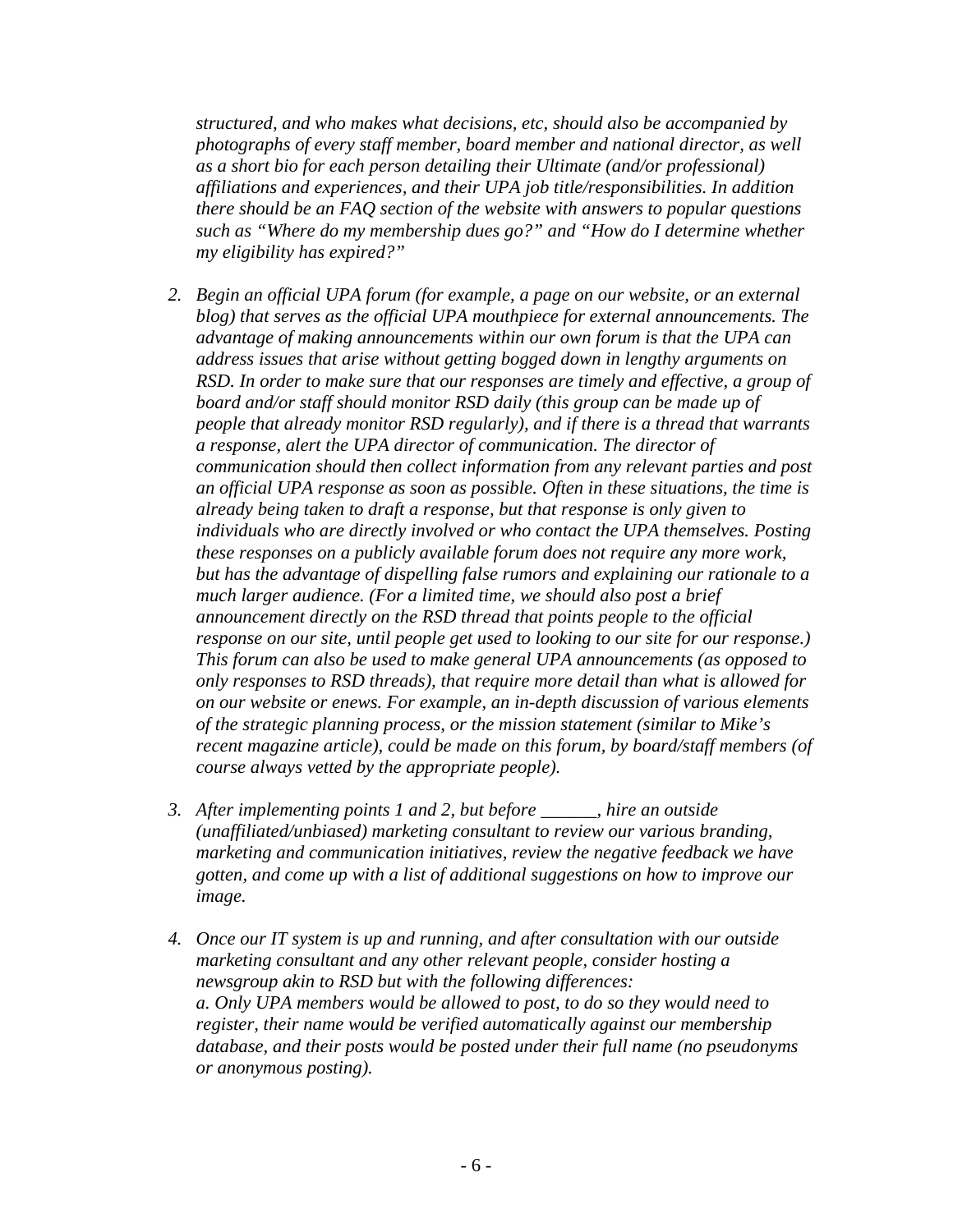*structured, and who makes what decisions, etc, should also be accompanied by photographs of every staff member, board member and national director, as well as a short bio for each person detailing their Ultimate (and/or professional) affiliations and experiences, and their UPA job title/responsibilities. In addition there should be an FAQ section of the website with answers to popular questions such as "Where do my membership dues go?" and "How do I determine whether my eligibility has expired?"* 

- *2. Begin an official UPA forum (for example, a page on our website, or an external blog) that serves as the official UPA mouthpiece for external announcements. The advantage of making announcements within our own forum is that the UPA can address issues that arise without getting bogged down in lengthy arguments on RSD. In order to make sure that our responses are timely and effective, a group of board and/or staff should monitor RSD daily (this group can be made up of people that already monitor RSD regularly), and if there is a thread that warrants a response, alert the UPA director of communication. The director of communication should then collect information from any relevant parties and post an official UPA response as soon as possible. Often in these situations, the time is already being taken to draft a response, but that response is only given to individuals who are directly involved or who contact the UPA themselves. Posting these responses on a publicly available forum does not require any more work, but has the advantage of dispelling false rumors and explaining our rationale to a much larger audience. (For a limited time, we should also post a brief announcement directly on the RSD thread that points people to the official response on our site, until people get used to looking to our site for our response.) This forum can also be used to make general UPA announcements (as opposed to only responses to RSD threads), that require more detail than what is allowed for on our website or enews. For example, an in-depth discussion of various elements of the strategic planning process, or the mission statement (similar to Mike's recent magazine article), could be made on this forum, by board/staff members (of course always vetted by the appropriate people).*
- *3. After implementing points 1 and 2, but before \_\_\_\_\_\_, hire an outside (unaffiliated/unbiased) marketing consultant to review our various branding, marketing and communication initiatives, review the negative feedback we have gotten, and come up with a list of additional suggestions on how to improve our image.*
- *4. Once our IT system is up and running, and after consultation with our outside marketing consultant and any other relevant people, consider hosting a newsgroup akin to RSD but with the following differences: a. Only UPA members would be allowed to post, to do so they would need to register, their name would be verified automatically against our membership database, and their posts would be posted under their full name (no pseudonyms or anonymous posting).*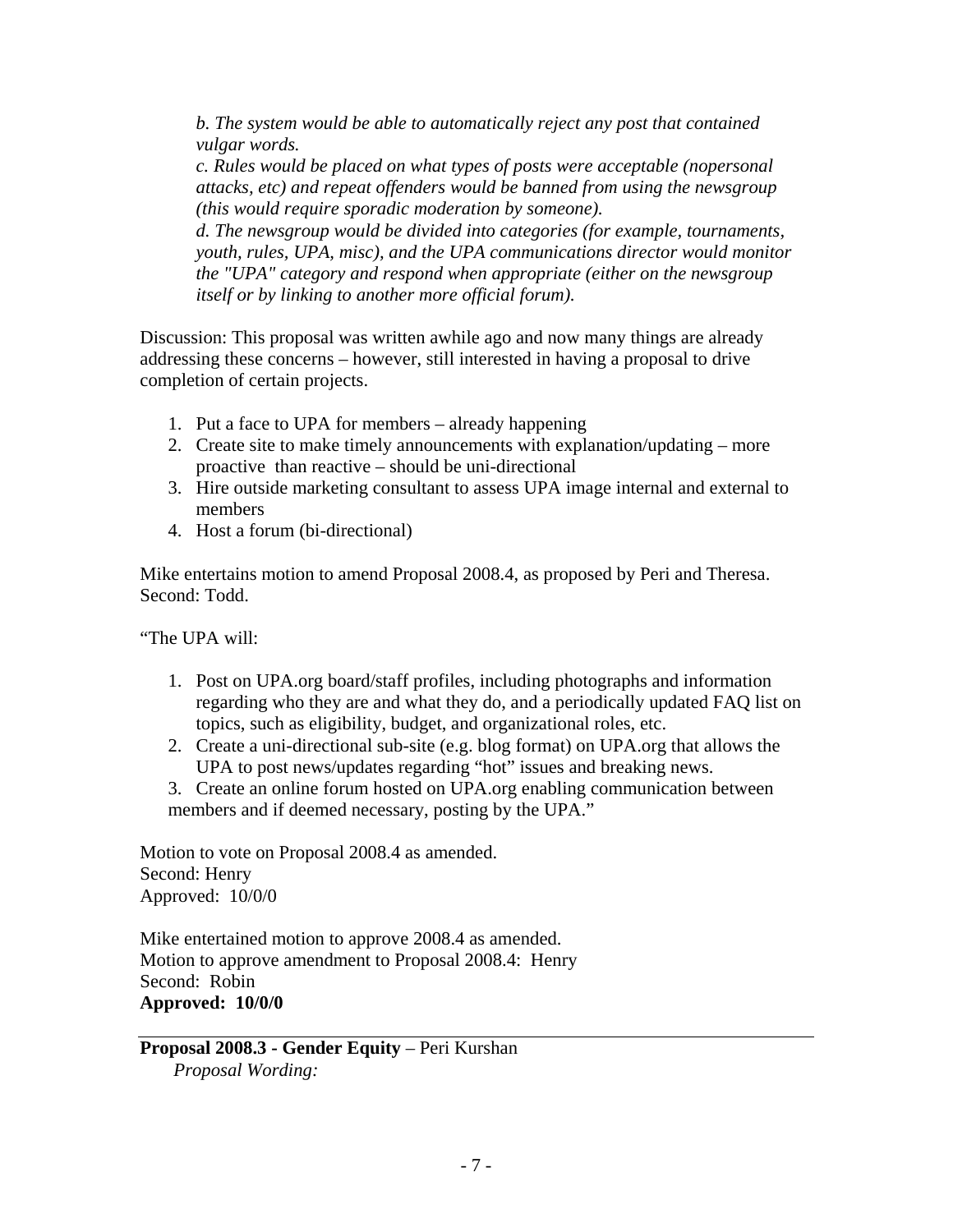*b. The system would be able to automatically reject any post that contained vulgar words.* 

*c. Rules would be placed on what types of posts were acceptable (nopersonal attacks, etc) and repeat offenders would be banned from using the newsgroup (this would require sporadic moderation by someone).* 

*d. The newsgroup would be divided into categories (for example, tournaments, youth, rules, UPA, misc), and the UPA communications director would monitor the "UPA" category and respond when appropriate (either on the newsgroup itself or by linking to another more official forum).* 

Discussion: This proposal was written awhile ago and now many things are already addressing these concerns – however, still interested in having a proposal to drive completion of certain projects.

- 1. Put a face to UPA for members already happening
- 2. Create site to make timely announcements with explanation/updating more proactive than reactive – should be uni-directional
- 3. Hire outside marketing consultant to assess UPA image internal and external to members
- 4. Host a forum (bi-directional)

Mike entertains motion to amend Proposal 2008.4, as proposed by Peri and Theresa. Second: Todd.

"The UPA will:

- 1. Post on UPA.org board/staff profiles, including photographs and information regarding who they are and what they do, and a periodically updated FAQ list on topics, such as eligibility, budget, and organizational roles, etc.
- 2. Create a uni-directional sub-site (e.g. blog format) on UPA.org that allows the UPA to post news/updates regarding "hot" issues and breaking news.
- 3. Create an online forum hosted on UPA.org enabling communication between members and if deemed necessary, posting by the UPA."

Motion to vote on Proposal 2008.4 as amended. Second: Henry Approved: 10/0/0

Mike entertained motion to approve 2008.4 as amended. Motion to approve amendment to Proposal 2008.4: Henry Second: Robin **Approved: 10/0/0** 

**Proposal 2008.3 - Gender Equity** – Peri Kurshan *Proposal Wording:*